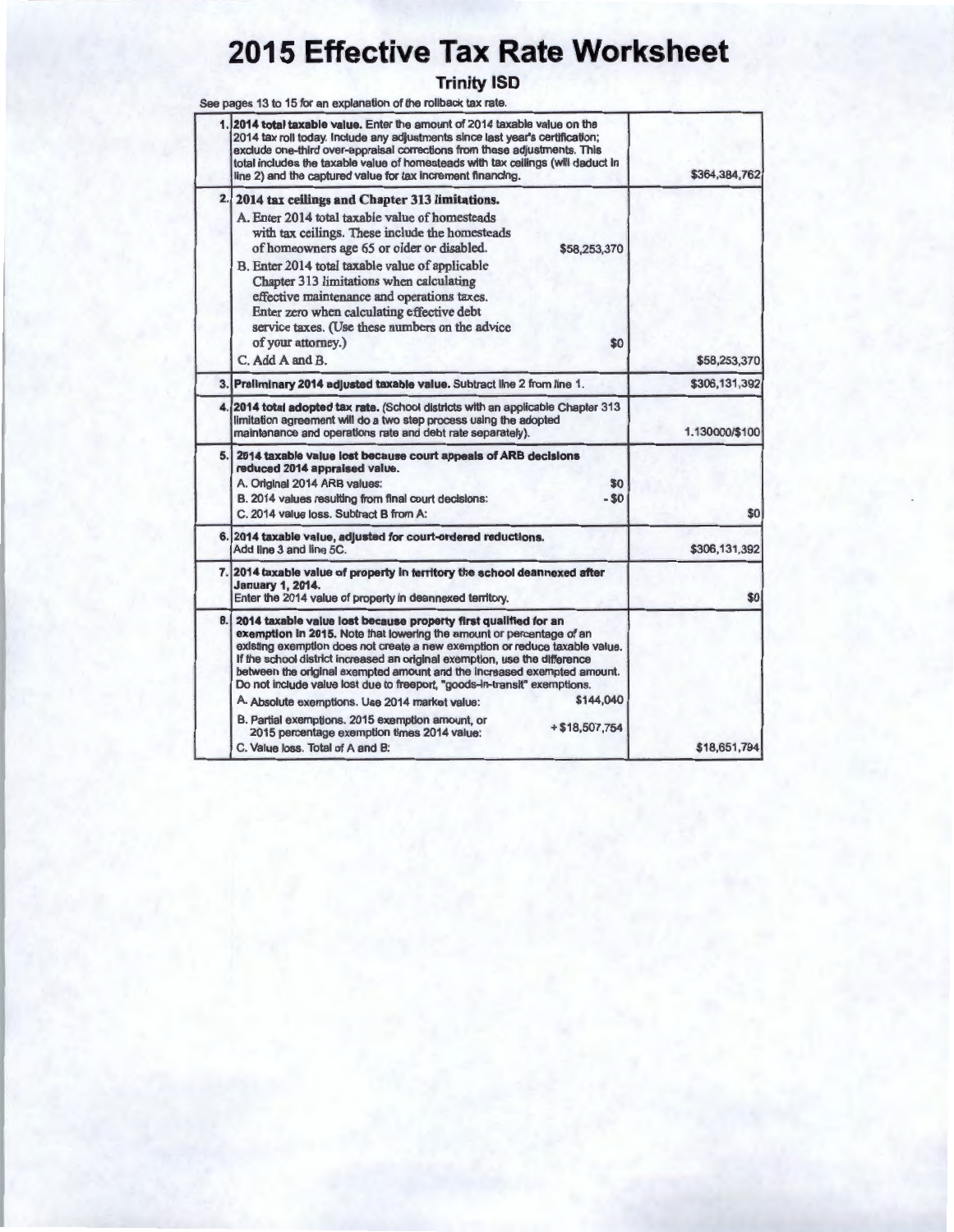## **2015 Effective Tax Rate Worksheet**

## **Trinity ISD**

See pages 13 to 15 for an explanation of the rollback tax rate.

| \$364,384,762  | 2014 total taxable value. Enter the amount of 2014 taxable value on the<br>2014 tax roll today. Include any adjustments since last year's certification;<br>exclude one-third over-appraisal corrections from these adjustments. This<br>total includes the taxable value of homesteads with tax ceilings (will daduct in<br>line 2) and the captured value for tax increment financing.                                                                                                                                           |
|----------------|------------------------------------------------------------------------------------------------------------------------------------------------------------------------------------------------------------------------------------------------------------------------------------------------------------------------------------------------------------------------------------------------------------------------------------------------------------------------------------------------------------------------------------|
| \$58,253,370   | 2.<br>2014 tax ceilings and Chapter 313 limitations.<br>A. Enter 2014 total taxable value of homesteads<br>with tax ceilings. These include the homesteads<br>of homeowners age 65 or older or disabled.<br>\$58,253,370<br>B. Enter 2014 total taxable value of applicable<br>Chapter 313 limitations when calculating<br>effective maintenance and operations taxes.<br>Enter zero when calculating effective debt<br>service taxes. (Use these numbers on the advice<br>of your attorney.)<br>\$0<br>C. Add A and B.            |
| \$306,131,392  | 3. Preliminary 2014 adjusted taxable value. Subtract line 2 from line 1.                                                                                                                                                                                                                                                                                                                                                                                                                                                           |
| 1.130000/\$100 | 4. 2014 total adopted tax rate. (School districts with an applicable Chapter 313<br>limitation agreement will do a two step process using the adopted<br>maintenance and operations rate and debt rate separately).                                                                                                                                                                                                                                                                                                                |
| \$0            | 5. 2014 taxable value lost because court appeals of ARB decisions<br>reduced 2014 appraised value.<br>A. Original 2014 ARB values:<br>\$0<br>B. 2014 values resulting from final court decisions:<br>$-50$<br>C. 2014 value loss. Subtract B from A:                                                                                                                                                                                                                                                                               |
| \$306,131,392  | 6. 2014 taxable value, adjusted for court-ordered reductions.<br>Add line 3 and line 5C.                                                                                                                                                                                                                                                                                                                                                                                                                                           |
| \$0            | 7. 2014 taxable value of property in territory the school deannexed after<br><b>January 1, 2014.</b><br>Enter the 2014 value of property in deannexed territory.                                                                                                                                                                                                                                                                                                                                                                   |
|                | 8.1<br>2014 taxable value lost because property first qualified for an<br>exemption in 2015. Note that lowering the amount or percentage of an<br>existing exemption does not create a new exemption or reduce taxable value.<br>If the school district increased an original exemption, use the difference<br>between the original exempted amount and the increased exempted amount.<br>Do not include value lost due to freeport, "goods-in-transit" exemptions.<br>\$144,040<br>A. Absolute exemptions. Use 2014 market value: |
| \$18,651,794   | B. Partial exemptions. 2015 exemption amount, or<br>$+ $18,507,754$<br>2015 percentage exemption times 2014 value:<br>C. Value loss. Total of A and B:                                                                                                                                                                                                                                                                                                                                                                             |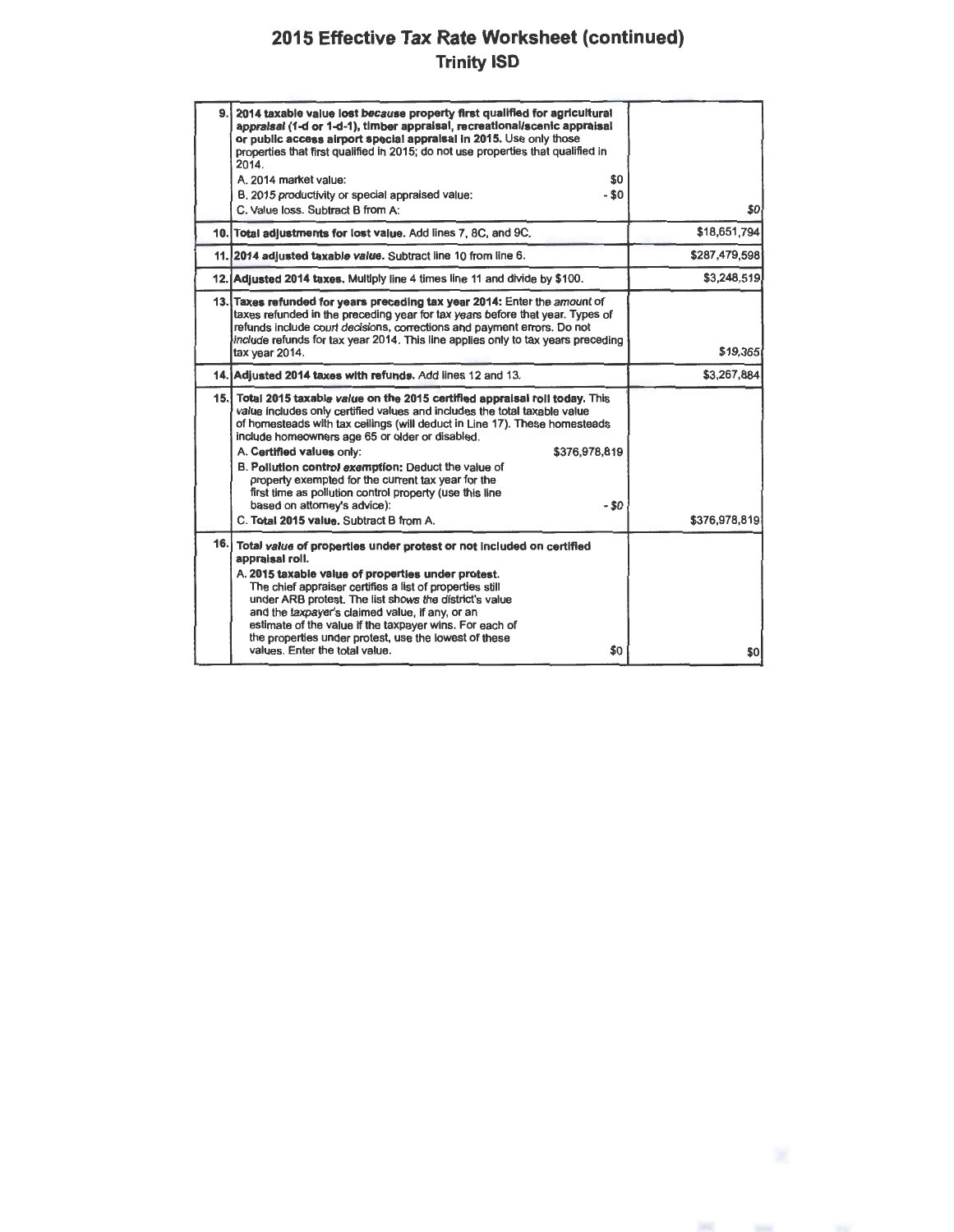## **2015 Effective Tax Rate Worksheet (continued) Trinity 15D**

|     | 9. 2014 taxable value lost because property first qualified for agricultural<br>appraisal (1-d or 1-d-1), timber appraisal, recreational/scenic appraisal<br>or public access airport special appraisal in 2015. Use only those<br>properties that first qualified in 2015; do not use properties that qualified in<br>2014.<br>A. 2014 market value:<br>\$0<br>- \$0<br>B. 2015 productivity or special appraised value:<br>C. Value loss. Subtract B from A:                                                                                                                                        | \$0           |
|-----|-------------------------------------------------------------------------------------------------------------------------------------------------------------------------------------------------------------------------------------------------------------------------------------------------------------------------------------------------------------------------------------------------------------------------------------------------------------------------------------------------------------------------------------------------------------------------------------------------------|---------------|
|     | 10. Total adjustments for lost value. Add lines 7, 8C, and 9C.                                                                                                                                                                                                                                                                                                                                                                                                                                                                                                                                        | \$18,651,794  |
|     | 11. 2014 adjusted taxable value. Subtract line 10 from line 6.                                                                                                                                                                                                                                                                                                                                                                                                                                                                                                                                        | \$287,479,598 |
|     | 12. Adjusted 2014 taxes. Multiply line 4 times line 11 and divide by \$100.                                                                                                                                                                                                                                                                                                                                                                                                                                                                                                                           | \$3,248,519   |
|     | 13. Taxes refunded for years preceding tax year 2014: Enter the amount of<br>taxes refunded in the preceding year for tax years before that year. Types of<br>refunds include court decisions, corrections and payment errors. Do not<br>include refunds for tax year 2014. This line applies only to tax years preceding<br>tax year 2014.                                                                                                                                                                                                                                                           | \$19,365      |
|     | 14. Adiusted 2014 taxes with refunds. Add lines 12 and 13.                                                                                                                                                                                                                                                                                                                                                                                                                                                                                                                                            | \$3,267,884   |
|     | 15. Total 2015 taxable value on the 2015 certified appraisal roll today. This<br>value includes only certified values and includes the total taxable value<br>of homesteads with tax ceilings (will deduct in Line 17). These homesteads<br>include homeowners age 65 or older or disabled.<br>A. Certified values only:<br>\$376,978,819<br>B. Pollution control exemption: Deduct the value of<br>property exempted for the current tax year for the<br>first time as pollution control property (use this line<br>$-50$<br>based on attorney's advice):<br>C. Total 2015 value. Subtract B from A. | \$376,978,819 |
| 16. | Total value of properties under protest or not included on certified<br>appraisal roll.<br>A. 2015 taxable value of properties under protest.<br>The chief appraiser certifies a list of properties still<br>under ARB protest. The list shows the district's value<br>and the taxpayer's claimed value, if any, or an<br>estimate of the value if the taxpayer wins. For each of<br>the properties under protest, use the lowest of these<br>values. Enter the total value.<br>\$0                                                                                                                   | \$0           |

 $\label{eq:11} \frac{\partial \mathcal{L}(\mathcal{H})}{\partial \mathcal{L}} = \frac{\partial \mathcal{L}(\mathcal{H})}{\partial \mathcal{L}(\mathcal{H})}$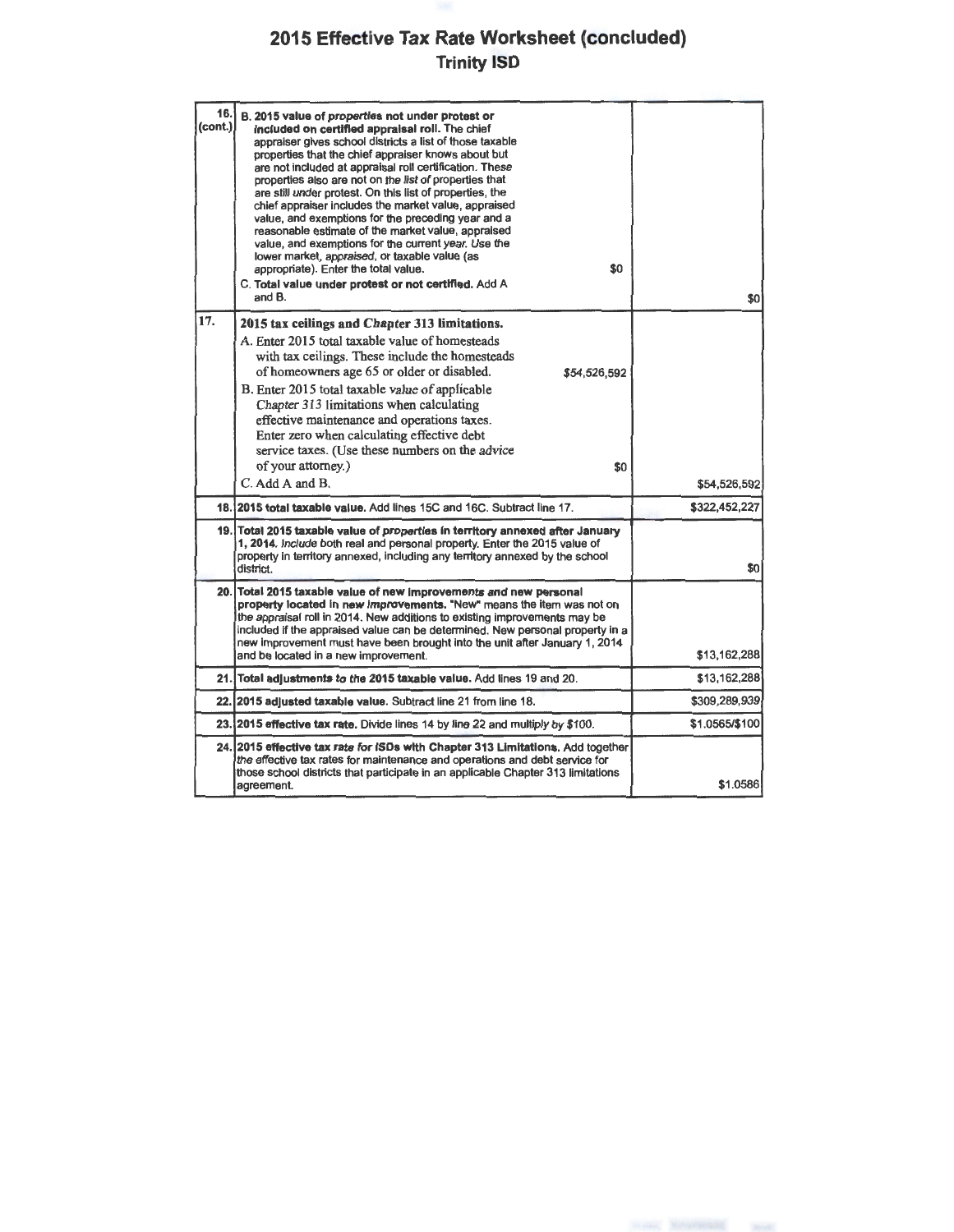## **2015 Effective Tax Rate Worksheet (concluded) Trinity ISD**

| 16.<br>(cont.) | B. 2015 value of properties not under protest or<br>included on certified appraisal roll. The chief<br>appraiser gives school districts a list of those taxable<br>properties that the chief appraiser knows about but<br>are not included at appraisal roll certification. These<br>properties also are not on the list of properties that<br>are still under protest. On this list of properties, the<br>chief appraiser includes the market value, appraised<br>value, and exemptions for the preceding year and a<br>reasonable estimate of the market value, appraised<br>value, and exemptions for the current year. Use the<br>lower market, appraised, or taxable value (as<br>\$0<br>appropriate). Enter the total value.<br>C. Total value under protest or not certified. Add A<br>and B. | \$0            |
|----------------|------------------------------------------------------------------------------------------------------------------------------------------------------------------------------------------------------------------------------------------------------------------------------------------------------------------------------------------------------------------------------------------------------------------------------------------------------------------------------------------------------------------------------------------------------------------------------------------------------------------------------------------------------------------------------------------------------------------------------------------------------------------------------------------------------|----------------|
| 17.            | 2015 tax ceilings and Chapter 313 limitations.<br>A. Enter 2015 total taxable value of homesteads<br>with tax ceilings. These include the homesteads<br>of homeowners age 65 or older or disabled.<br>\$54,526,592<br>B. Enter 2015 total taxable value of applicable<br>Chapter 313 limitations when calculating<br>effective maintenance and operations taxes.<br>Enter zero when calculating effective debt<br>service taxes. (Use these numbers on the advice<br>of your attorney.)<br>\$0                                                                                                                                                                                                                                                                                                       |                |
|                | C. Add A and B.                                                                                                                                                                                                                                                                                                                                                                                                                                                                                                                                                                                                                                                                                                                                                                                      | \$54,526,592   |
|                | 18. 2015 total taxable value. Add lines 15C and 16C. Subtract line 17.                                                                                                                                                                                                                                                                                                                                                                                                                                                                                                                                                                                                                                                                                                                               | \$322,452,227  |
|                | 19. Total 2015 taxable value of properties in territory annexed after January<br>1, 2014. Include both real and personal property. Enter the 2015 value of<br>property in territory annexed, including any territory annexed by the school<br>district.                                                                                                                                                                                                                                                                                                                                                                                                                                                                                                                                              | \$0            |
| 20.            | Total 2015 taxable value of new improvements and new personal<br>property located in new improvements. "New" means the item was not on<br>the appraisal roll in 2014. New additions to existing improvements may be<br>included if the appraised value can be determined. New personal property in a<br>new improvement must have been brought into the unit after January 1, 2014<br>and be located in a new improvement.                                                                                                                                                                                                                                                                                                                                                                           | \$13,162,288   |
| 21.            | Total adjustments to the 2015 taxable value. Add lines 19 and 20.                                                                                                                                                                                                                                                                                                                                                                                                                                                                                                                                                                                                                                                                                                                                    | \$13,162,288   |
| 22.            | 2015 adjusted taxable value. Subtract line 21 from line 18.                                                                                                                                                                                                                                                                                                                                                                                                                                                                                                                                                                                                                                                                                                                                          | \$309,289,939  |
|                | 23.12015 effective tax rate. Divide lines 14 by line 22 and multiply by \$100.                                                                                                                                                                                                                                                                                                                                                                                                                                                                                                                                                                                                                                                                                                                       | \$1.0565/\$100 |
|                | 24. 2015 effective tax rate for ISDs with Chapter 313 Limitations. Add together<br>the effective tax rates for maintenance and operations and debt service for<br>those school districts that participate in an applicable Chapter 313 limitations<br>agreement.                                                                                                                                                                                                                                                                                                                                                                                                                                                                                                                                     | \$1.0586       |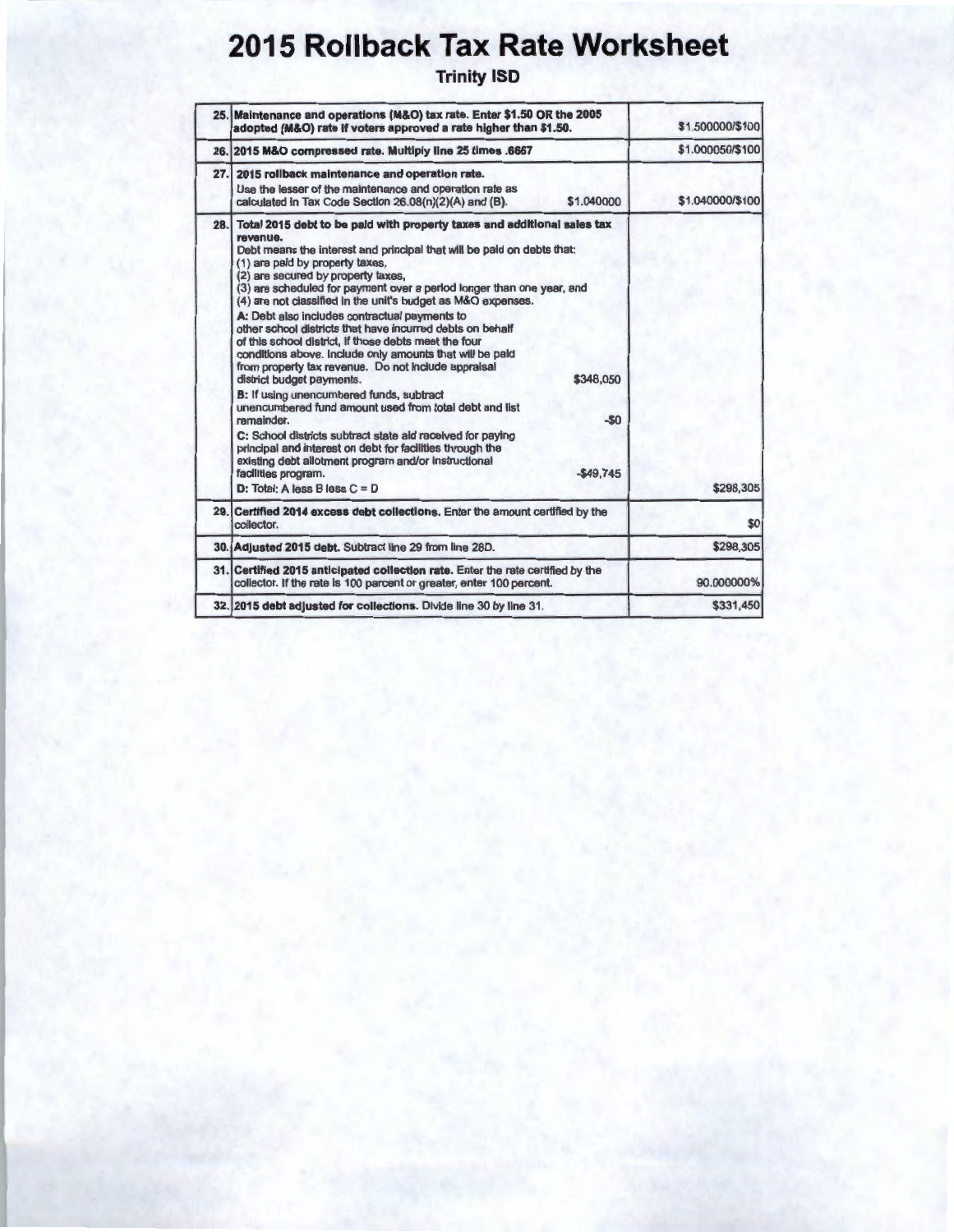# **2015 Rollback Tax Rate Worksheet**

Trinity ISD

|      | 25. Maintenance and operations (M&O) tax rate. Enter \$1.50 OR the 2005<br>adopted (M&O) rate if voters approved a rate higher than \$1.50.                                                                                                                                                                                                                                                                                                                                                                                                                                                                                                                                                                                                                                                                                                                                                                                                                                                                                                                                                                 | \$1.500000/\$100 |
|------|-------------------------------------------------------------------------------------------------------------------------------------------------------------------------------------------------------------------------------------------------------------------------------------------------------------------------------------------------------------------------------------------------------------------------------------------------------------------------------------------------------------------------------------------------------------------------------------------------------------------------------------------------------------------------------------------------------------------------------------------------------------------------------------------------------------------------------------------------------------------------------------------------------------------------------------------------------------------------------------------------------------------------------------------------------------------------------------------------------------|------------------|
|      | 26. 2015 M&O compressed rate. Multiply line 25 times .6667                                                                                                                                                                                                                                                                                                                                                                                                                                                                                                                                                                                                                                                                                                                                                                                                                                                                                                                                                                                                                                                  | \$1.000050/\$100 |
| 27.1 | 2015 rollback maintenance and operation rate.<br>Use the lesser of the maintenance and operation rate as<br>\$1,040000<br>calculated in Tax Code Section 26.08(n)(2)(A) and (B).                                                                                                                                                                                                                                                                                                                                                                                                                                                                                                                                                                                                                                                                                                                                                                                                                                                                                                                            | \$1.040000/\$100 |
| 28.1 | Total 2015 debt to be paid with property taxes and additional sales tax<br>revenue.<br>Debt means the interest and principal that will be paid on debts that:<br>(1) are paid by property taxes,<br>(2) are secured by property taxes,<br>(3) are scheduled for payment over a period longer than one year, and<br>(4) are not classified in the unit's budget as M&O expenses.<br>A: Debt also includes contractual payments to<br>other school districts that have incurred debts on behalf<br>of this school district, if those debts meet the four<br>conditions above. Include only amounts that will be paid<br>from property tax revenue. Do not include appraisal<br>\$348,050<br>district budget payments.<br>B: If using unencumbered funds, subtract<br>unencumbered fund amount used from total debt and list<br>$-50$<br>ramainder.<br>C: School districts subtract state aid raceived for paying<br>principal and interest on debt for facilities through the<br>existing debt allotment program and/or instructional<br>$-549.745$<br>facilities program.<br>$D: Total: A less B less C = D$ | \$298,305        |
|      | 29. Certified 2014 excess debt collections. Enter the amount certified by the<br>collector.                                                                                                                                                                                                                                                                                                                                                                                                                                                                                                                                                                                                                                                                                                                                                                                                                                                                                                                                                                                                                 | \$0              |
|      | 30. Adjusted 2015 debt. Subtract line 29 from line 28D.                                                                                                                                                                                                                                                                                                                                                                                                                                                                                                                                                                                                                                                                                                                                                                                                                                                                                                                                                                                                                                                     | \$298,305        |
|      | 31. Certified 2015 anticipated collection rate. Enter the rate certified by the<br>collector. If the rate is 100 parcent or greater, enter 100 percent.                                                                                                                                                                                                                                                                                                                                                                                                                                                                                                                                                                                                                                                                                                                                                                                                                                                                                                                                                     | 90.000000%       |
|      | 32. 2015 debt adjusted for collections. Divide line 30 by line 31.                                                                                                                                                                                                                                                                                                                                                                                                                                                                                                                                                                                                                                                                                                                                                                                                                                                                                                                                                                                                                                          | \$331,450        |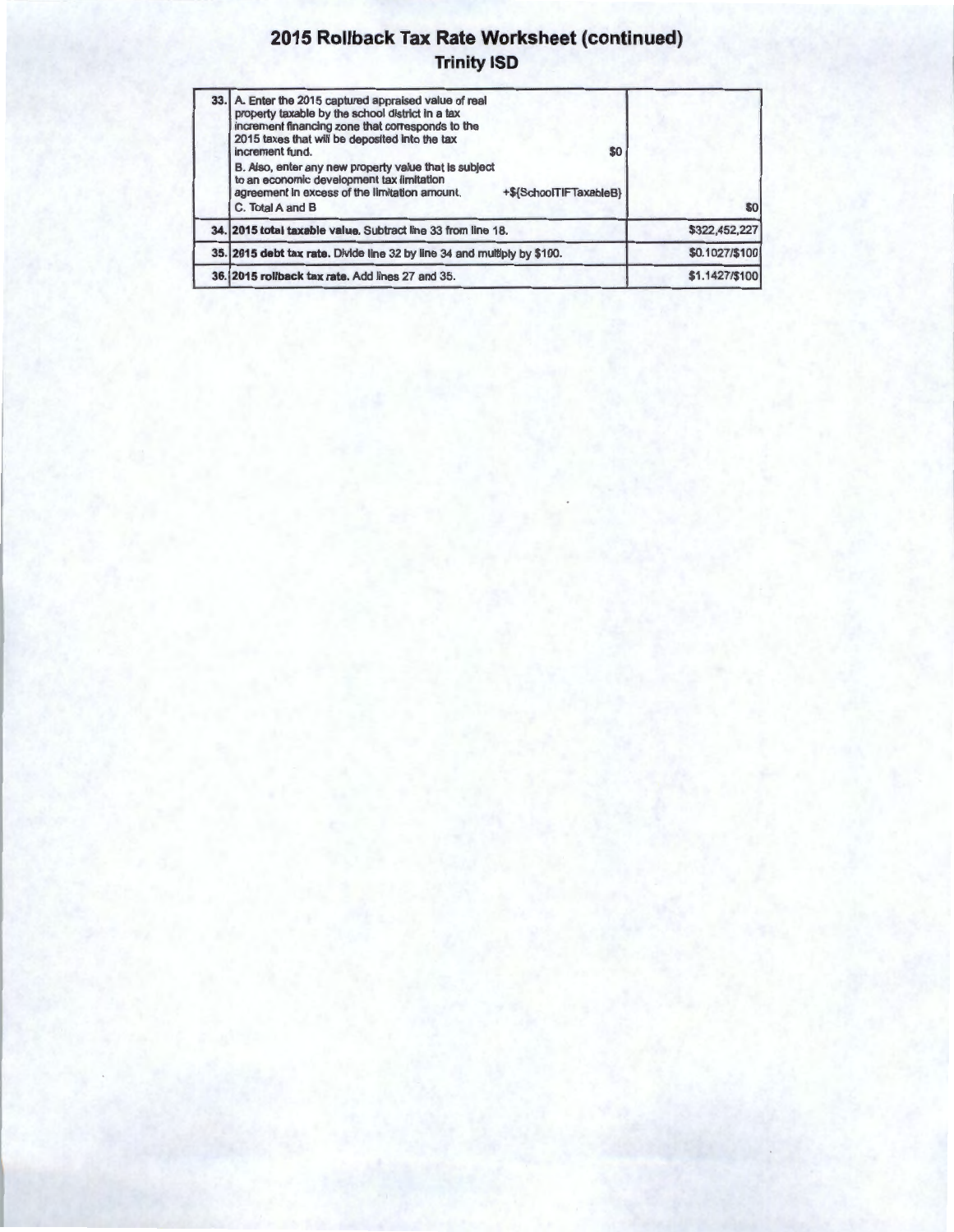#### **2015 Rollback Tax Rate Worksheet (continued) Trinity ISD**

| 33. A. Enter the 2015 captured appraised value of real<br>property taxable by the school district in a tax<br>increment financing zone that corresponds to the<br>2015 taxes that will be deposited into the tax<br>increment fund.<br>\$0 |                |
|--------------------------------------------------------------------------------------------------------------------------------------------------------------------------------------------------------------------------------------------|----------------|
| B. Also, enter any new property value that is subject<br>to an economic development tax limitation<br>agreement in excess of the limitation amount.<br>+\${SchoolTIFTaxableB}<br>C. Total A and B                                          | \$0            |
| 34. 2015 total taxable value. Subtract line 33 from line 18.                                                                                                                                                                               | \$322,452,227  |
| 35. 2015 debt tax rate. Divide line 32 by line 34 and multiply by \$100.                                                                                                                                                                   | \$0.1027/\$100 |
| 36. 2015 rollback tax rate. Add lines 27 and 35.                                                                                                                                                                                           | \$1.1427/\$100 |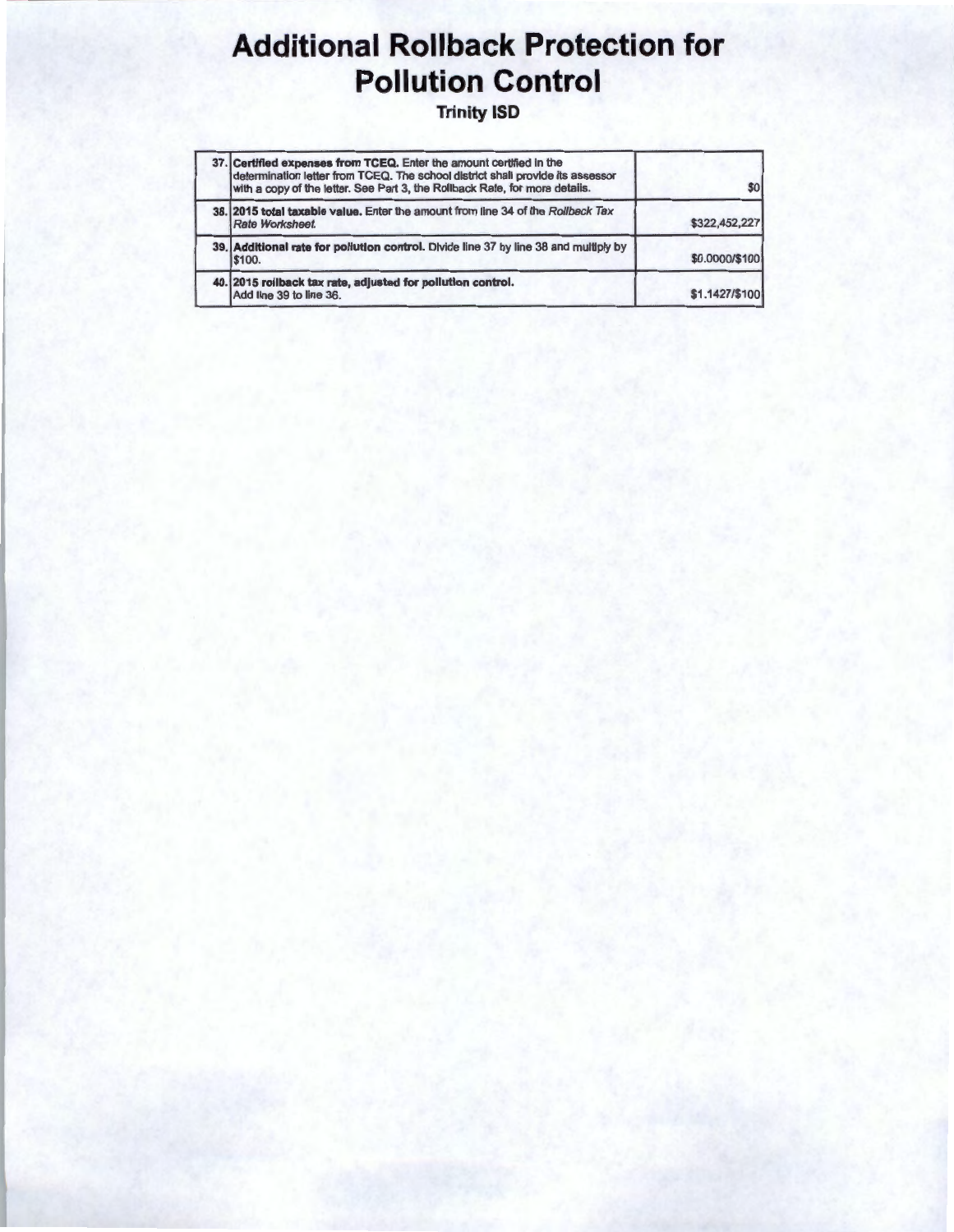# **Additional Rollback Protection for Pollution Control**

**Trinity ISD** 

| 37. Certified expenses from TCEQ. Enter the amount certified in the<br>determination letter from TCEQ. The school district shall provide its assessor<br>with a copy of the letter. See Part 3, the Rollback Rate, for more details. | \$0 <sub>1</sub> |
|--------------------------------------------------------------------------------------------------------------------------------------------------------------------------------------------------------------------------------------|------------------|
| 38. 2015 total taxable value. Enter the amount from line 34 of the Rollback Tax<br>Rate Worksheet.                                                                                                                                   | \$322,452,227    |
| 39. Additional rate for pollution control. Divide line 37 by line 38 and multiply by<br><b>S100.</b>                                                                                                                                 | \$0.0000/\$100   |
| 40. 2015 rollback tax rate, adjusted for pollution control.<br>Add line 39 to line 36.                                                                                                                                               | \$1.1427/\$100   |